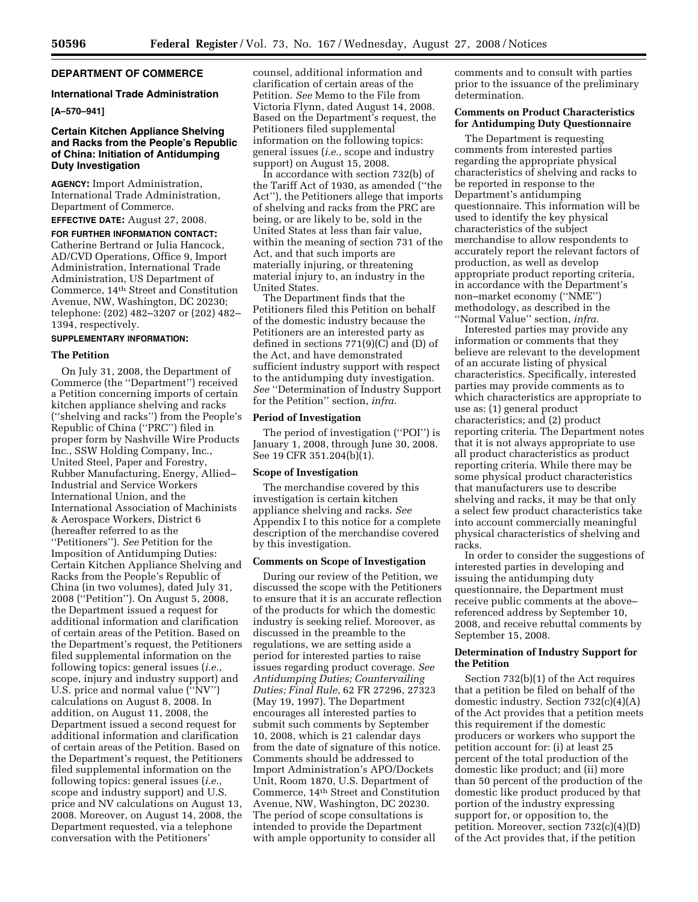# **DEPARTMENT OF COMMERCE**

#### **International Trade Administration**

# **[A–570–941]**

# **Certain Kitchen Appliance Shelving and Racks from the People's Republic of China: Initiation of Antidumping Duty Investigation**

**AGENCY:** Import Administration, International Trade Administration, Department of Commerce.

**EFFECTIVE DATE:** August 27, 2008.

**FOR FURTHER INFORMATION CONTACT:**  Catherine Bertrand or Julia Hancock, AD/CVD Operations, Office 9, Import Administration, International Trade Administration, US Department of Commerce, 14th Street and Constitution Avenue, NW, Washington, DC 20230; telephone: (202) 482–3207 or (202) 482– 1394, respectively.

### **SUPPLEMENTARY INFORMATION:**

# **The Petition**

On July 31, 2008, the Department of Commerce (the ''Department'') received a Petition concerning imports of certain kitchen appliance shelving and racks (''shelving and racks'') from the People's Republic of China (''PRC'') filed in proper form by Nashville Wire Products Inc., SSW Holding Company, Inc., United Steel, Paper and Forestry, Rubber Manufacturing, Energy, Allied– Industrial and Service Workers International Union, and the International Association of Machinists & Aerospace Workers, District 6 (hereafter referred to as the ''Petitioners''). *See* Petition for the Imposition of Antidumping Duties: Certain Kitchen Appliance Shelving and Racks from the People's Republic of China (in two volumes), dated July 31, 2008 (''Petition''). On August 5, 2008, the Department issued a request for additional information and clarification of certain areas of the Petition. Based on the Department's request, the Petitioners filed supplemental information on the following topics: general issues (*i.e.*, scope, injury and industry support) and U.S. price and normal value (''NV'') calculations on August 8, 2008. In addition, on August 11, 2008, the Department issued a second request for additional information and clarification of certain areas of the Petition. Based on the Department's request, the Petitioners filed supplemental information on the following topics: general issues (*i.e.*, scope and industry support) and U.S. price and NV calculations on August 13, 2008. Moreover, on August 14, 2008, the Department requested, via a telephone conversation with the Petitioners'

counsel, additional information and clarification of certain areas of the Petition. *See* Memo to the File from Victoria Flynn, dated August 14, 2008. Based on the Department's request, the Petitioners filed supplemental information on the following topics: general issues (*i.e.*, scope and industry support) on August 15, 2008.

In accordance with section 732(b) of the Tariff Act of 1930, as amended (''the Act''), the Petitioners allege that imports of shelving and racks from the PRC are being, or are likely to be, sold in the United States at less than fair value, within the meaning of section 731 of the Act, and that such imports are materially injuring, or threatening material injury to, an industry in the United States.

The Department finds that the Petitioners filed this Petition on behalf of the domestic industry because the Petitioners are an interested party as defined in sections 771(9)(C) and (D) of the Act, and have demonstrated sufficient industry support with respect to the antidumping duty investigation. *See* ''Determination of Industry Support for the Petition'' section, *infra*.

### **Period of Investigation**

The period of investigation (''POI'') is January 1, 2008, through June 30, 2008. See 19 CFR 351.204(b)(1).

### **Scope of Investigation**

The merchandise covered by this investigation is certain kitchen appliance shelving and racks. *See*  Appendix I to this notice for a complete description of the merchandise covered by this investigation.

#### **Comments on Scope of Investigation**

During our review of the Petition, we discussed the scope with the Petitioners to ensure that it is an accurate reflection of the products for which the domestic industry is seeking relief. Moreover, as discussed in the preamble to the regulations, we are setting aside a period for interested parties to raise issues regarding product coverage. *See Antidumping Duties; Countervailing Duties; Final Rule*, 62 FR 27296, 27323 (May 19, 1997). The Department encourages all interested parties to submit such comments by September 10, 2008, which is 21 calendar days from the date of signature of this notice. Comments should be addressed to Import Administration's APO/Dockets Unit, Room 1870, U.S. Department of Commerce, 14th Street and Constitution Avenue, NW, Washington, DC 20230. The period of scope consultations is intended to provide the Department with ample opportunity to consider all

comments and to consult with parties prior to the issuance of the preliminary determination.

# **Comments on Product Characteristics for Antidumping Duty Questionnaire**

The Department is requesting comments from interested parties regarding the appropriate physical characteristics of shelving and racks to be reported in response to the Department's antidumping questionnaire. This information will be used to identify the key physical characteristics of the subject merchandise to allow respondents to accurately report the relevant factors of production, as well as develop appropriate product reporting criteria, in accordance with the Department's non–market economy (''NME'') methodology, as described in the ''Normal Value'' section, *infra*.

Interested parties may provide any information or comments that they believe are relevant to the development of an accurate listing of physical characteristics. Specifically, interested parties may provide comments as to which characteristics are appropriate to use as: (1) general product characteristics; and (2) product reporting criteria. The Department notes that it is not always appropriate to use all product characteristics as product reporting criteria. While there may be some physical product characteristics that manufacturers use to describe shelving and racks, it may be that only a select few product characteristics take into account commercially meaningful physical characteristics of shelving and racks.

In order to consider the suggestions of interested parties in developing and issuing the antidumping duty questionnaire, the Department must receive public comments at the above– referenced address by September 10, 2008, and receive rebuttal comments by September 15, 2008.

# **Determination of Industry Support for the Petition**

Section 732(b)(1) of the Act requires that a petition be filed on behalf of the domestic industry. Section 732(c)(4)(A) of the Act provides that a petition meets this requirement if the domestic producers or workers who support the petition account for: (i) at least 25 percent of the total production of the domestic like product; and (ii) more than 50 percent of the production of the domestic like product produced by that portion of the industry expressing support for, or opposition to, the petition. Moreover, section 732(c)(4)(D) of the Act provides that, if the petition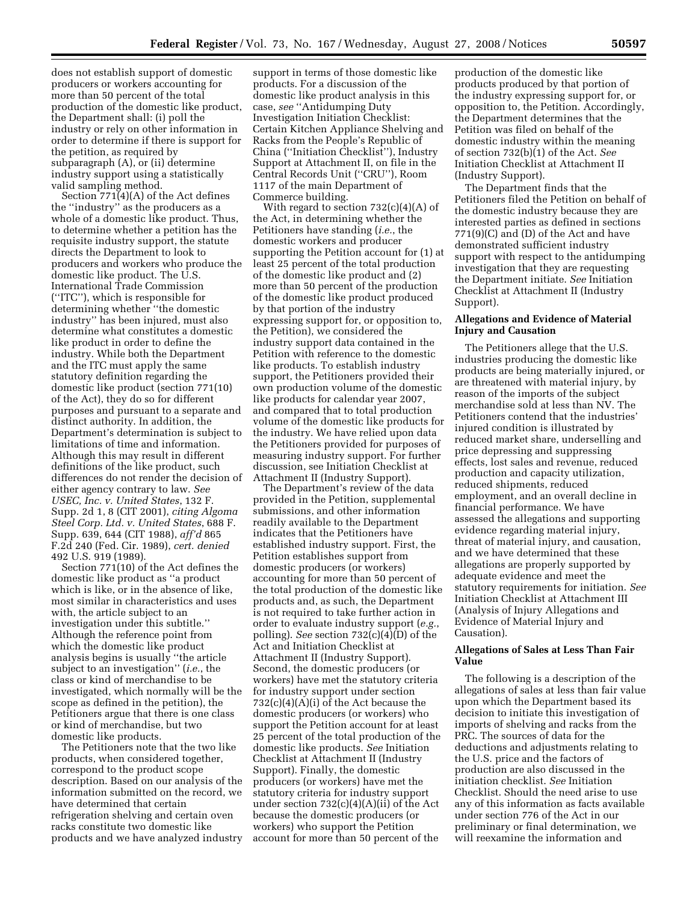does not establish support of domestic producers or workers accounting for more than 50 percent of the total production of the domestic like product, the Department shall: (i) poll the industry or rely on other information in order to determine if there is support for the petition, as required by subparagraph (A), or (ii) determine industry support using a statistically valid sampling method.

Section 771(4)(A) of the Act defines the ''industry'' as the producers as a whole of a domestic like product. Thus, to determine whether a petition has the requisite industry support, the statute directs the Department to look to producers and workers who produce the domestic like product. The U.S. International Trade Commission (''ITC''), which is responsible for determining whether ''the domestic industry'' has been injured, must also determine what constitutes a domestic like product in order to define the industry. While both the Department and the ITC must apply the same statutory definition regarding the domestic like product (section 771(10) of the Act), they do so for different purposes and pursuant to a separate and distinct authority. In addition, the Department's determination is subject to limitations of time and information. Although this may result in different definitions of the like product, such differences do not render the decision of either agency contrary to law. *See USEC, Inc. v. United States*, 132 F. Supp. 2d 1, 8 (CIT 2001), *citing Algoma Steel Corp. Ltd. v. United States*, 688 F. Supp. 639, 644 (CIT 1988), *aff'd* 865 F.2d 240 (Fed. Cir. 1989), *cert. denied*  492 U.S. 919 (1989).

Section 771(10) of the Act defines the domestic like product as ''a product which is like, or in the absence of like, most similar in characteristics and uses with, the article subject to an investigation under this subtitle.'' Although the reference point from which the domestic like product analysis begins is usually ''the article subject to an investigation'' (*i.e.*, the class or kind of merchandise to be investigated, which normally will be the scope as defined in the petition), the Petitioners argue that there is one class or kind of merchandise, but two domestic like products.

The Petitioners note that the two like products, when considered together, correspond to the product scope description. Based on our analysis of the information submitted on the record, we have determined that certain refrigeration shelving and certain oven racks constitute two domestic like products and we have analyzed industry

support in terms of those domestic like products. For a discussion of the domestic like product analysis in this case, *see* ''Antidumping Duty Investigation Initiation Checklist: Certain Kitchen Appliance Shelving and Racks from the People's Republic of China (''Initiation Checklist''), Industry Support at Attachment II, on file in the Central Records Unit (''CRU''), Room 1117 of the main Department of Commerce building.

With regard to section  $732(c)(4)(A)$  of the Act, in determining whether the Petitioners have standing (*i.e.*, the domestic workers and producer supporting the Petition account for (1) at least 25 percent of the total production of the domestic like product and (2) more than 50 percent of the production of the domestic like product produced by that portion of the industry expressing support for, or opposition to, the Petition), we considered the industry support data contained in the Petition with reference to the domestic like products. To establish industry support, the Petitioners provided their own production volume of the domestic like products for calendar year 2007, and compared that to total production volume of the domestic like products for the industry. We have relied upon data the Petitioners provided for purposes of measuring industry support. For further discussion, see Initiation Checklist at Attachment II (Industry Support).

The Department's review of the data provided in the Petition, supplemental submissions, and other information readily available to the Department indicates that the Petitioners have established industry support. First, the Petition establishes support from domestic producers (or workers) accounting for more than 50 percent of the total production of the domestic like products and, as such, the Department is not required to take further action in order to evaluate industry support (*e.g.*, polling). *See* section 732(c)(4)(D) of the Act and Initiation Checklist at Attachment II (Industry Support). Second, the domestic producers (or workers) have met the statutory criteria for industry support under section 732(c)(4)(A)(i) of the Act because the domestic producers (or workers) who support the Petition account for at least 25 percent of the total production of the domestic like products. *See* Initiation Checklist at Attachment II (Industry Support). Finally, the domestic producers (or workers) have met the statutory criteria for industry support under section 732(c)(4)(A)(ii) of the Act because the domestic producers (or workers) who support the Petition account for more than 50 percent of the

production of the domestic like products produced by that portion of the industry expressing support for, or opposition to, the Petition. Accordingly, the Department determines that the Petition was filed on behalf of the domestic industry within the meaning of section 732(b)(1) of the Act. *See*  Initiation Checklist at Attachment II (Industry Support).

The Department finds that the Petitioners filed the Petition on behalf of the domestic industry because they are interested parties as defined in sections 771(9)(C) and (D) of the Act and have demonstrated sufficient industry support with respect to the antidumping investigation that they are requesting the Department initiate. *See* Initiation Checklist at Attachment II (Industry Support).

# **Allegations and Evidence of Material Injury and Causation**

The Petitioners allege that the U.S. industries producing the domestic like products are being materially injured, or are threatened with material injury, by reason of the imports of the subject merchandise sold at less than NV. The Petitioners contend that the industries' injured condition is illustrated by reduced market share, underselling and price depressing and suppressing effects, lost sales and revenue, reduced production and capacity utilization, reduced shipments, reduced employment, and an overall decline in financial performance. We have assessed the allegations and supporting evidence regarding material injury, threat of material injury, and causation, and we have determined that these allegations are properly supported by adequate evidence and meet the statutory requirements for initiation. *See*  Initiation Checklist at Attachment III (Analysis of Injury Allegations and Evidence of Material Injury and Causation).

# **Allegations of Sales at Less Than Fair Value**

The following is a description of the allegations of sales at less than fair value upon which the Department based its decision to initiate this investigation of imports of shelving and racks from the PRC. The sources of data for the deductions and adjustments relating to the U.S. price and the factors of production are also discussed in the initiation checklist. *See* Initiation Checklist. Should the need arise to use any of this information as facts available under section 776 of the Act in our preliminary or final determination, we will reexamine the information and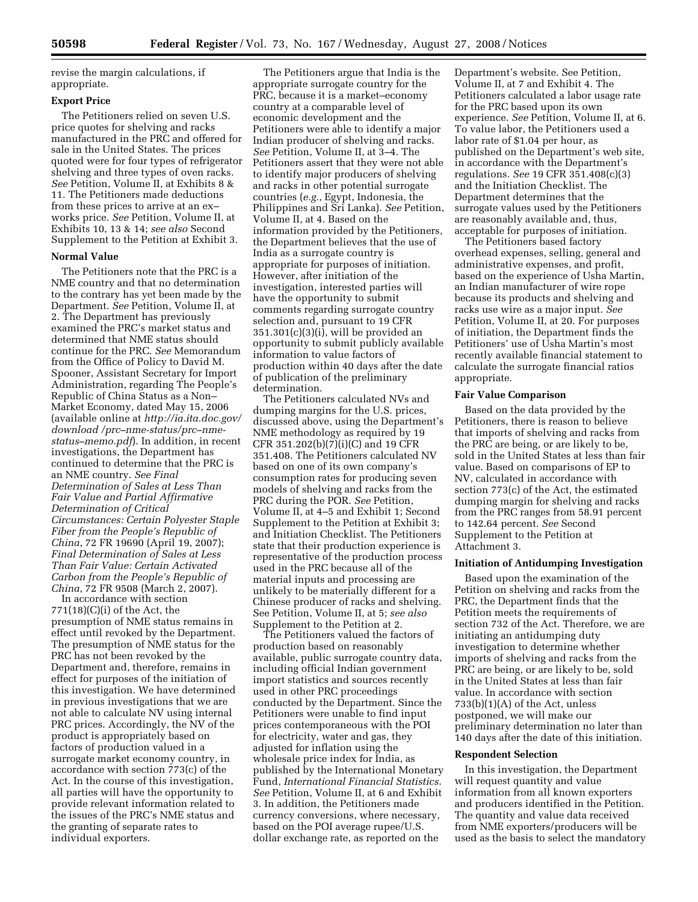revise the margin calculations, if appropriate.

#### **Export Price**

The Petitioners relied on seven U.S. price quotes for shelving and racks manufactured in the PRC and offered for sale in the United States. The prices quoted were for four types of refrigerator shelving and three types of oven racks. *See* Petition, Volume II, at Exhibits 8 & 11. The Petitioners made deductions from these prices to arrive at an ex– works price. *See* Petition, Volume II, at Exhibits 10, 13 & 14; *see also* Second Supplement to the Petition at Exhibit 3.

### **Normal Value**

The Petitioners note that the PRC is a NME country and that no determination to the contrary has yet been made by the Department. *See* Petition, Volume II, at 2. The Department has previously examined the PRC's market status and determined that NME status should continue for the PRC. *See* Memorandum from the Office of Policy to David M. Spooner, Assistant Secretary for Import Administration, regarding The People's Republic of China Status as a Non– Market Economy, dated May 15, 2006 (available online at *http://ia.ita.doc.gov/ download /prc–nme-status/prc–nmestatus–memo.pdf*). In addition, in recent investigations, the Department has continued to determine that the PRC is an NME country. *See Final Determination of Sales at Less Than Fair Value and Partial Affirmative Determination of Critical Circumstances: Certain Polyester Staple Fiber from the People's Republic of China*, 72 FR 19690 (April 19, 2007); *Final Determination of Sales at Less Than Fair Value: Certain Activated Carbon from the People's Republic of China*, 72 FR 9508 (March 2, 2007).

In accordance with section 771(18)(C)(i) of the Act, the presumption of NME status remains in effect until revoked by the Department. The presumption of NME status for the PRC has not been revoked by the Department and, therefore, remains in effect for purposes of the initiation of this investigation. We have determined in previous investigations that we are not able to calculate NV using internal PRC prices. Accordingly, the NV of the product is appropriately based on factors of production valued in a surrogate market economy country, in accordance with section 773(c) of the Act. In the course of this investigation, all parties will have the opportunity to provide relevant information related to the issues of the PRC's NME status and the granting of separate rates to individual exporters.

The Petitioners argue that India is the appropriate surrogate country for the PRC, because it is a market–economy country at a comparable level of economic development and the Petitioners were able to identify a major Indian producer of shelving and racks. *See* Petition, Volume II, at 3–4. The Petitioners assert that they were not able to identify major producers of shelving and racks in other potential surrogate countries (*e.g.*, Egypt, Indonesia, the Philippines and Sri Lanka). *See* Petition, Volume II, at 4. Based on the information provided by the Petitioners, the Department believes that the use of India as a surrogate country is appropriate for purposes of initiation. However, after initiation of the investigation, interested parties will have the opportunity to submit comments regarding surrogate country selection and, pursuant to 19 CFR 351.301(c)(3)(i), will be provided an opportunity to submit publicly available information to value factors of production within 40 days after the date of publication of the preliminary determination.

The Petitioners calculated NVs and dumping margins for the U.S. prices, discussed above, using the Department's NME methodology as required by 19 CFR 351.202(b)(7)(i)(C) and 19 CFR 351.408. The Petitioners calculated NV based on one of its own company's consumption rates for producing seven models of shelving and racks from the PRC during the POR. *See* Petition, Volume II, at 4–5 and Exhibit 1; Second Supplement to the Petition at Exhibit 3; and Initiation Checklist. The Petitioners state that their production experience is representative of the production process used in the PRC because all of the material inputs and processing are unlikely to be materially different for a Chinese producer of racks and shelving. See Petition, Volume II, at 5; *see also*  Supplement to the Petition at 2.

The Petitioners valued the factors of production based on reasonably available, public surrogate country data, including official Indian government import statistics and sources recently used in other PRC proceedings conducted by the Department. Since the Petitioners were unable to find input prices contemporaneous with the POI for electricity, water and gas, they adjusted for inflation using the wholesale price index for India, as published by the International Monetary Fund, *International Financial Statistics*. *See* Petition, Volume II, at 6 and Exhibit 3. In addition, the Petitioners made currency conversions, where necessary, based on the POI average rupee/U.S. dollar exchange rate, as reported on the

Department's website. See Petition, Volume II, at 7 and Exhibit 4. The Petitioners calculated a labor usage rate for the PRC based upon its own experience. *See* Petition, Volume II, at 6. To value labor, the Petitioners used a labor rate of \$1.04 per hour, as published on the Department's web site, in accordance with the Department's regulations. *See* 19 CFR 351.408(c)(3) and the Initiation Checklist. The Department determines that the surrogate values used by the Petitioners are reasonably available and, thus, acceptable for purposes of initiation.

The Petitioners based factory overhead expenses, selling, general and administrative expenses, and profit, based on the experience of Usha Martin, an Indian manufacturer of wire rope because its products and shelving and racks use wire as a major input. *See*  Petition, Volume II, at 20. For purposes of initiation, the Department finds the Petitioners' use of Usha Martin's most recently available financial statement to calculate the surrogate financial ratios appropriate.

### **Fair Value Comparison**

Based on the data provided by the Petitioners, there is reason to believe that imports of shelving and racks from the PRC are being, or are likely to be, sold in the United States at less than fair value. Based on comparisons of EP to NV, calculated in accordance with section 773(c) of the Act, the estimated dumping margin for shelving and racks from the PRC ranges from 58.91 percent to 142.64 percent. *See* Second Supplement to the Petition at Attachment 3.

#### **Initiation of Antidumping Investigation**

Based upon the examination of the Petition on shelving and racks from the PRC, the Department finds that the Petition meets the requirements of section 732 of the Act. Therefore, we are initiating an antidumping duty investigation to determine whether imports of shelving and racks from the PRC are being, or are likely to be, sold in the United States at less than fair value. In accordance with section 733(b)(1)(A) of the Act, unless postponed, we will make our preliminary determination no later than 140 days after the date of this initiation.

#### **Respondent Selection**

In this investigation, the Department will request quantity and value information from all known exporters and producers identified in the Petition. The quantity and value data received from NME exporters/producers will be used as the basis to select the mandatory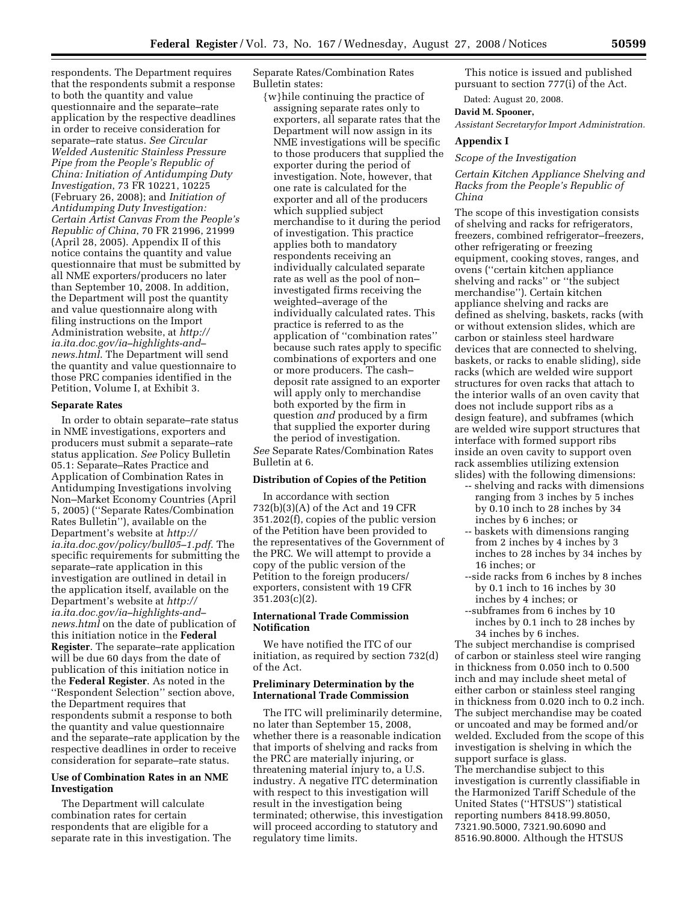respondents. The Department requires that the respondents submit a response to both the quantity and value questionnaire and the separate–rate application by the respective deadlines in order to receive consideration for separate–rate status. *See Circular Welded Austenitic Stainless Pressure Pipe from the People's Republic of China: Initiation of Antidumping Duty Investigation*, 73 FR 10221, 10225 (February 26, 2008); and *Initiation of Antidumping Duty Investigation: Certain Artist Canvas From the People's Republic of China*, 70 FR 21996, 21999 (April 28, 2005). Appendix II of this notice contains the quantity and value questionnaire that must be submitted by all NME exporters/producers no later than September 10, 2008. In addition, the Department will post the quantity and value questionnaire along with filing instructions on the Import Administration website, at *http:// ia.ita.doc.gov/ia–highlights-and– news.html*. The Department will send the quantity and value questionnaire to those PRC companies identified in the Petition, Volume I, at Exhibit 3.

### **Separate Rates**

In order to obtain separate–rate status in NME investigations, exporters and producers must submit a separate–rate status application. *See* Policy Bulletin 05.1: Separate–Rates Practice and Application of Combination Rates in Antidumping Investigations involving Non–Market Economy Countries (April 5, 2005) (''Separate Rates/Combination Rates Bulletin''), available on the Department's website at *http:// ia.ita.doc.gov/policy/bull05–1.pdf*. The specific requirements for submitting the separate–rate application in this investigation are outlined in detail in the application itself, available on the Department's website at *http:// ia.ita.doc.gov/ia–highlights-and– news.html* on the date of publication of this initiation notice in the **Federal Register**. The separate–rate application will be due 60 days from the date of publication of this initiation notice in the **Federal Register**. As noted in the ''Respondent Selection'' section above, the Department requires that respondents submit a response to both the quantity and value questionnaire and the separate–rate application by the respective deadlines in order to receive consideration for separate–rate status.

# **Use of Combination Rates in an NME Investigation**

The Department will calculate combination rates for certain respondents that are eligible for a separate rate in this investigation. The Separate Rates/Combination Rates Bulletin states:

{w}hile continuing the practice of assigning separate rates only to exporters, all separate rates that the Department will now assign in its NME investigations will be specific to those producers that supplied the exporter during the period of investigation. Note, however, that one rate is calculated for the exporter and all of the producers which supplied subject merchandise to it during the period of investigation. This practice applies both to mandatory respondents receiving an individually calculated separate rate as well as the pool of non– investigated firms receiving the weighted–average of the individually calculated rates. This practice is referred to as the application of ''combination rates'' because such rates apply to specific combinations of exporters and one or more producers. The cash– deposit rate assigned to an exporter will apply only to merchandise both exported by the firm in question *and* produced by a firm that supplied the exporter during the period of investigation. *See* Separate Rates/Combination Rates Bulletin at 6.

**Distribution of Copies of the Petition** 

In accordance with section 732(b)(3)(A) of the Act and 19 CFR 351.202(f), copies of the public version of the Petition have been provided to the representatives of the Government of the PRC. We will attempt to provide a copy of the public version of the Petition to the foreign producers/ exporters, consistent with 19 CFR 351.203(c)(2).

### **International Trade Commission Notification**

We have notified the ITC of our initiation, as required by section 732(d) of the Act.

### **Preliminary Determination by the International Trade Commission**

The ITC will preliminarily determine, no later than September 15, 2008, whether there is a reasonable indication that imports of shelving and racks from the PRC are materially injuring, or threatening material injury to, a U.S. industry. A negative ITC determination with respect to this investigation will result in the investigation being terminated; otherwise, this investigation will proceed according to statutory and regulatory time limits.

This notice is issued and published pursuant to section 777(i) of the Act.

Dated: August 20, 2008.

**David M. Spooner,** 

# *Assistant Secretaryfor Import Administration.*

### **Appendix I**

#### *Scope of the Investigation*

# *Certain Kitchen Appliance Shelving and Racks from the People's Republic of China*

The scope of this investigation consists of shelving and racks for refrigerators, freezers, combined refrigerator–freezers, other refrigerating or freezing equipment, cooking stoves, ranges, and ovens (''certain kitchen appliance shelving and racks'' or ''the subject merchandise''). Certain kitchen appliance shelving and racks are defined as shelving, baskets, racks (with or without extension slides, which are carbon or stainless steel hardware devices that are connected to shelving, baskets, or racks to enable sliding), side racks (which are welded wire support structures for oven racks that attach to the interior walls of an oven cavity that does not include support ribs as a design feature), and subframes (which are welded wire support structures that interface with formed support ribs inside an oven cavity to support oven rack assemblies utilizing extension slides) with the following dimensions:

- -- shelving and racks with dimensions ranging from 3 inches by 5 inches by 0.10 inch to 28 inches by 34 inches by 6 inches; or
- -- baskets with dimensions ranging from 2 inches by 4 inches by 3 inches to 28 inches by 34 inches by 16 inches; or
- --side racks from 6 inches by 8 inches by 0.1 inch to 16 inches by 30 inches by 4 inches; or
- --subframes from 6 inches by 10 inches by 0.1 inch to 28 inches by 34 inches by 6 inches.

The subject merchandise is comprised of carbon or stainless steel wire ranging in thickness from 0.050 inch to 0.500 inch and may include sheet metal of either carbon or stainless steel ranging in thickness from 0.020 inch to 0.2 inch. The subject merchandise may be coated or uncoated and may be formed and/or welded. Excluded from the scope of this investigation is shelving in which the support surface is glass. The merchandise subject to this investigation is currently classifiable in the Harmonized Tariff Schedule of the United States (''HTSUS'') statistical reporting numbers 8418.99.8050, 7321.90.5000, 7321.90.6090 and 8516.90.8000. Although the HTSUS